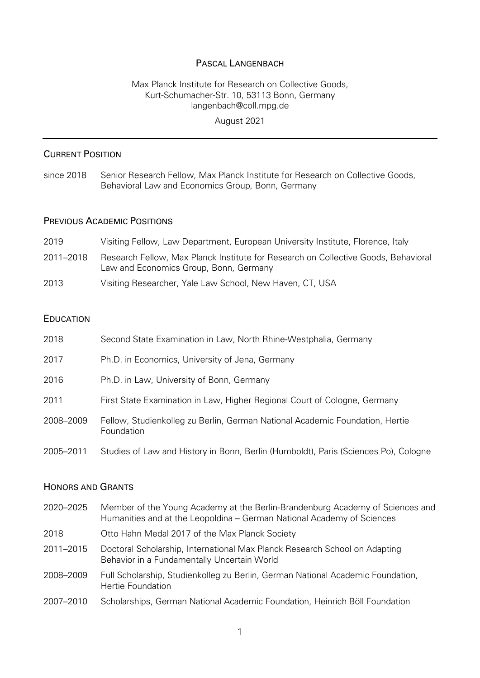### PASCAL LANGENBACH

# Max Planck Institute for Research on Collective Goods, Kurt-Schumacher-Str. 10, 53113 Bonn, Germany langenbach@coll.mpg.de

### August 2021

### CURRENT POSITION

since 2018 Senior Research Fellow, Max Planck Institute for Research on Collective Goods, Behavioral Law and Economics Group, Bonn, Germany

### PREVIOUS ACADEMIC POSITIONS

| 2019      | Visiting Fellow, Law Department, European University Institute, Florence, Italy                                              |
|-----------|------------------------------------------------------------------------------------------------------------------------------|
| 2011-2018 | Research Fellow, Max Planck Institute for Research on Collective Goods, Behavioral<br>Law and Economics Group, Bonn, Germany |
| 2013      | Visiting Researcher, Yale Law School, New Haven, CT, USA                                                                     |

#### EDUCATION

| 2018      | Second State Examination in Law, North Rhine-Westphalia, Germany                           |
|-----------|--------------------------------------------------------------------------------------------|
| 2017      | Ph.D. in Economics, University of Jena, Germany                                            |
| 2016      | Ph.D. in Law, University of Bonn, Germany                                                  |
| 2011      | First State Examination in Law, Higher Regional Court of Cologne, Germany                  |
| 2008-2009 | Fellow, Studienkolleg zu Berlin, German National Academic Foundation, Hertie<br>Foundation |
| 2005-2011 | Studies of Law and History in Bonn, Berlin (Humboldt), Paris (Sciences Po), Cologne        |

#### HONORS AND GRANTS

| 2020-2025 | Member of the Young Academy at the Berlin-Brandenburg Academy of Sciences and<br>Humanities and at the Leopoldina - German National Academy of Sciences |
|-----------|---------------------------------------------------------------------------------------------------------------------------------------------------------|
| 2018      | Otto Hahn Medal 2017 of the Max Planck Society                                                                                                          |
| 2011-2015 | Doctoral Scholarship, International Max Planck Research School on Adapting<br>Behavior in a Fundamentally Uncertain World                               |
| 2008-2009 | Full Scholarship, Studienkolleg zu Berlin, German National Academic Foundation,<br>Hertie Foundation                                                    |
|           |                                                                                                                                                         |

2007–2010 Scholarships, German National Academic Foundation, Heinrich Böll Foundation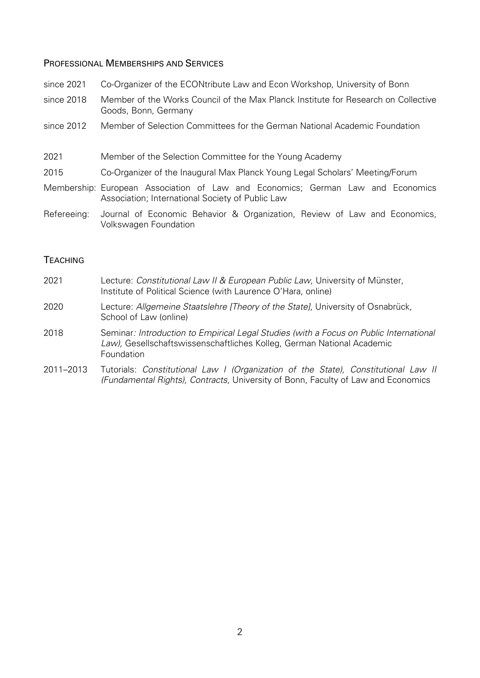#### PROFESSIONAL MEMBERSHIPS AND SERVICES

- since 2021 Co-Organizer of the ECONtribute Law and Econ Workshop, University of Bonn
- since 2018 Member of the Works Council of the Max Planck Institute for Research on Collective Goods, Bonn, Germany
- since 2012 Member of Selection Committees for the German National Academic Foundation
- 2021 Member of the Selection Committee for the Young Academy
- 2015 Co-Organizer of the Inaugural Max Planck Young Legal Scholars' Meeting/Forum
- Membership: European Association of Law and Economics; German Law and Economics Association; International Society of Public Law
- Refereeing: Journal of Economic Behavior & Organization, Review of Law and Economics, Volkswagen Foundation

### **TEACHING**

- 2021 Lecture: *Constitutional Law II & European Public Law*, University of Münster, Institute of Political Science (with Laurence O'Hara, online)
- 2020 Lecture: *Allgemeine Staatslehre [Theory of the State]*, University of Osnabrück, School of Law (online)
- 2018 Seminar*: Introduction to Empirical Legal Studies (with a Focus on Public International Law),* Gesellschaftswissenschaftliches Kolleg, German National Academic Foundation
- 2011–2013 Tutorials: *Constitutional Law I (Organization of the State), Constitutional Law II (Fundamental Rights), Contracts,* University of Bonn, Faculty of Law and Economics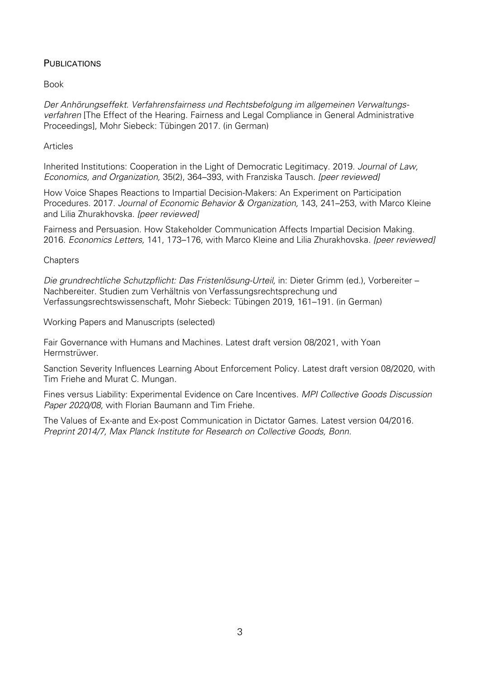## **PUBLICATIONS**

Book

*Der Anhörungseffekt. Verfahrensfairness und Rechtsbefolgung im allgemeinen Verwaltungsverfahren* [The Effect of the Hearing. Fairness and Legal Compliance in General Administrative Proceedings], Mohr Siebeck: Tübingen 2017. (in German)

### Articles

Inherited Institutions: Cooperation in the Light of Democratic Legitimacy. 2019. *Journal of Law, Economics, and Organization,* 35(2), 364–393, with Franziska Tausch. *[peer reviewed]*

How Voice Shapes Reactions to Impartial Decision-Makers: An Experiment on Participation Procedures. 2017. *Journal of Economic Behavior & Organization,* 143, 241–253, with Marco Kleine and Lilia Zhurakhovska. *[peer reviewed]*

Fairness and Persuasion. How Stakeholder Communication Affects Impartial Decision Making. 2016. *Economics Letters,* 141, 173–176, with Marco Kleine and Lilia Zhurakhovska. *[peer reviewed]*

### **Chapters**

*Die grundrechtliche Schutzpflicht: Das Fristenlösung-Urteil,* in: Dieter Grimm (ed.), Vorbereiter – Nachbereiter. Studien zum Verhältnis von Verfassungsrechtsprechung und Verfassungsrechtswissenschaft, Mohr Siebeck: Tübingen 2019, 161–191. (in German)

Working Papers and Manuscripts (selected)

Fair Governance with Humans and Machines. Latest draft version 08/2021, with Yoan Hermstrüwer.

Sanction Severity Influences Learning About Enforcement Policy. Latest draft version 08/2020, with Tim Friehe and Murat C. Mungan.

Fines versus Liability: Experimental Evidence on Care Incentives. *MPI Collective Goods Discussion Paper 2020/08,* with Florian Baumann and Tim Friehe.

The Values of Ex-ante and Ex-post Communication in Dictator Games. Latest version 04/2016. *Preprint 2014/7, Max Planck Institute for Research on Collective Goods, Bonn.*